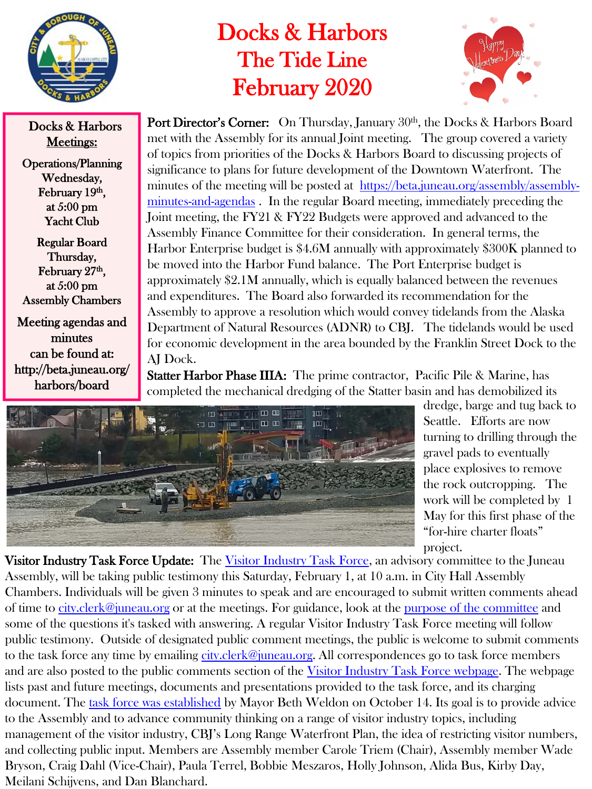

Docks & Harbors Meetings:

Operations/Planning Wednesday, February 19th, at 5:00 pm Yacht Club

Regular Board Thursday, February 27<sup>th</sup>, at 5:00 pm Assembly Chambers

Meeting agendas and minutes can be found at: http://beta.juneau.org/ harbors/board

## Docks & Harbors The Tide Line February 2020



Port Director's Corner: On Thursday, January 30<sup>th</sup>, the Docks & Harbors Board met with the Assembly for its annual Joint meeting. The group covered a variety of topics from priorities of the Docks & Harbors Board to discussing projects of significance to plans for future development of the Downtown Waterfront. The [minutes of the meeting will be posted at https://beta.juneau.org/assembly/assembly](https://beta.juneau.org/assembly/assembly-minutes-and-agendas)minutes-and-agendas . In the regular Board meeting, immediately preceding the Joint meeting, the FY21 & FY22 Budgets were approved and advanced to the Assembly Finance Committee for their consideration. In general terms, the Harbor Enterprise budget is \$4.6M annually with approximately \$300K planned to be moved into the Harbor Fund balance. The Port Enterprise budget is approximately \$2.1M annually, which is equally balanced between the revenues and expenditures. The Board also forwarded its recommendation for the Assembly to approve a resolution which would convey tidelands from the Alaska Department of Natural Resources (ADNR) to CBJ. The tidelands would be used for economic development in the area bounded by the Franklin Street Dock to the AJ Dock.

Statter Harbor Phase IIIA: The prime contractor, Pacific Pile & Marine, has completed the mechanical dredging of the Statter basin and has demobilized its



dredge, barge and tug back to Seattle. Efforts are now turning to drilling through the gravel pads to eventually place explosives to remove the rock outcropping. The work will be completed by 1 May for this first phase of the "for-hire charter floats" project.

**Visitor Industry Task Force Update:** The [Visitor Industry Task Force,](https://beta.juneau.org/assembly/visitor-industry-task-force) an advisory committee to the Juneau Assembly, will be taking public testimony this Saturday, February 1, at 10 a.m. in City Hall Assembly Chambers. Individuals will be given 3 minutes to speak and are encouraged to submit written comments ahead of time to [city.clerk@juneau.org](mailto:city.clerk@juneau.org) or at the meetings. For guidance, look at the <u>[purpose of the committee](https://3tb2gc2mxpvu3uwt0l20tbhq-wpengine.netdna-ssl.com/wp-content/uploads/2019/11/2019-10-14-Visitor-Industry-Task-Force-signed.pdf)</u> and some of the questions it's tasked with answering. A regular Visitor Industry Task Force meeting will follow public testimony. Outside of designated public comment meetings, the public is welcome to submit comments to the task force any time by emailing [city.clerk@juneau.org](mailto:city.clerk@juneau.org). All correspondences go to task force members and are also posted to the public comments section of the [Visitor Industry Task Force webpage.](https://beta.juneau.org/assembly/visitor-industry-task-force) The webpage lists past and future meetings, documents and presentations provided to the task force, and its charging document. The [task force was established](https://3tb2gc2mxpvu3uwt0l20tbhq-wpengine.netdna-ssl.com/wp-content/uploads/2019/11/2019-10-14-Visitor-Industry-Task-Force-signed.pdf) by Mayor Beth Weldon on October 14. Its goal is to provide advice to the Assembly and to advance community thinking on a range of visitor industry topics, including management of the visitor industry, CBJ's Long Range Waterfront Plan, the idea of restricting visitor numbers, and collecting public input. Members are Assembly member Carole Triem (Chair), Assembly member Wade Bryson, Craig Dahl (Vice-Chair), Paula Terrel, Bobbie Meszaros, Holly Johnson, Alida Bus, Kirby Day, Meilani Schijvens, and Dan Blanchard.